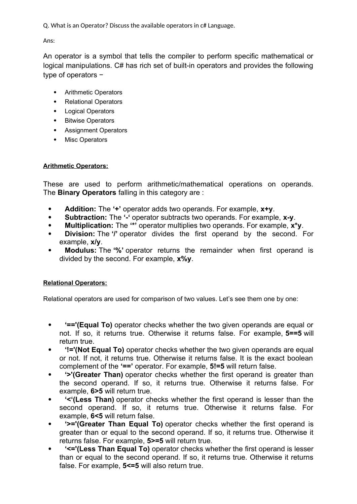Q. What is an Operator? Discuss the available operators in c# Language.

Ans:

An operator is a symbol that tells the compiler to perform specific mathematical or logical manipulations. C# has rich set of built-in operators and provides the following type of operators −

- Arithmetic Operators
- Relational Operators
- Logical Operators
- Bitwise Operators
- Assignment Operators
- Misc Operators

### **Arithmetic Operators:**

These are used to perform arithmetic/mathematical operations on operands. The **Binary Operators** falling in this category are :

- **Addition:** The **'+'** operator adds two operands. For example, **x+y**.
- **Subtraction:** The **'-'** operator subtracts two operands. For example, **x-y**.
- **Multiplication:** The **'\*'** operator multiplies two operands. For example, **x\*y**.
- **Division:** The **'/'** operator divides the first operand by the second. For example, **x/y**.
- **Modulus:** The **'%'** operator returns the remainder when first operand is divided by the second. For example, **x%y**.

## **Relational Operators:**

Relational operators are used for comparison of two values. Let's see them one by one:

- **'=='(Equal To)** operator checks whether the two given operands are equal or not. If so, it returns true. Otherwise it returns false. For example, **5==5** will return true.
- **'!='(Not Equal To)** operator checks whether the two given operands are equal or not. If not, it returns true. Otherwise it returns false. It is the exact boolean complement of the **'=='** operator. For example, **5!=5** will return false.
- **'>'(Greater Than)** operator checks whether the first operand is greater than the second operand. If so, it returns true. Otherwise it returns false. For example, **6>5** will return true.
- **'<'(Less Than)** operator checks whether the first operand is lesser than the second operand. If so, it returns true. Otherwise it returns false. For example, **6<5** will return false.
- **'>='(Greater Than Equal To)** operator checks whether the first operand is greater than or equal to the second operand. If so, it returns true. Otherwise it returns false. For example, **5>=5** will return true.
- **'<='(Less Than Equal To)** operator checks whether the first operand is lesser than or equal to the second operand. If so, it returns true. Otherwise it returns false. For example, **5<=5** will also return true.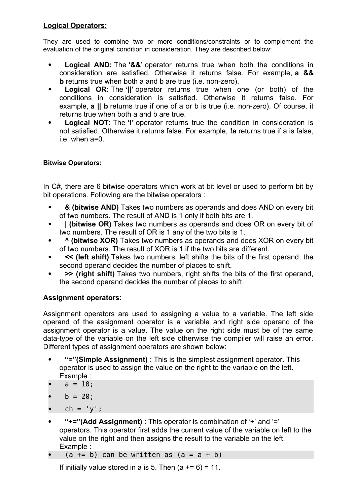## **Logical Operators:**

They are used to combine two or more conditions/constraints or to complement the evaluation of the original condition in consideration. They are described below:

- **Logical AND:** The **'&&'** operator returns true when both the conditions in consideration are satisfied. Otherwise it returns false. For example, **a && b** returns true when both a and b are true (i.e. non-zero).
- **Logical OR:** The **'||'** operator returns true when one (or both) of the conditions in consideration is satisfied. Otherwise it returns false. For example, **a || b** returns true if one of a or b is true (i.e. non-zero). Of course, it returns true when both a and b are true.
- **Logical NOT:** The **'!'** operator returns true the condition in consideration is not satisfied. Otherwise it returns false. For example, **!a** returns true if a is false, i.e. when a=0.

## **Bitwise Operators:**

In C#, there are 6 bitwise operators which work at bit level or used to perform bit by bit operations. Following are the bitwise operators :

- **& (bitwise AND)** Takes two numbers as operands and does AND on every bit of two numbers. The result of AND is 1 only if both bits are 1.
- **| (bitwise OR)** Takes two numbers as operands and does OR on every bit of two numbers. The result of OR is 1 any of the two bits is 1.
- **^ (bitwise XOR)** Takes two numbers as operands and does XOR on every bit of two numbers. The result of XOR is 1 if the two bits are different.
- **<< (left shift)** Takes two numbers, left shifts the bits of the first operand, the second operand decides the number of places to shift.
- **>> (right shift)** Takes two numbers, right shifts the bits of the first operand, the second operand decides the number of places to shift.

## **Assignment operators:**

Assignment operators are used to assigning a value to a variable. The left side operand of the assignment operator is a variable and right side operand of the assignment operator is a value. The value on the right side must be of the same data-type of the variable on the left side otherwise the compiler will raise an error. Different types of assignment operators are shown below:

- **"="(Simple Assignment)** : This is the simplest assignment operator. This operator is used to assign the value on the right to the variable on the left. Example :
- $a = 10$ ;
- $b = 20$ :
- $ch = 'y';$
- **"+="(Add Assignment)** : This operator is combination of '+' and '=' operators. This operator first adds the current value of the variable on left to the value on the right and then assigns the result to the variable on the left. Example :
- $(a += b)$  can be written as  $(a = a + b)$

If initially value stored in a is 5. Then  $(a + 6) = 11$ .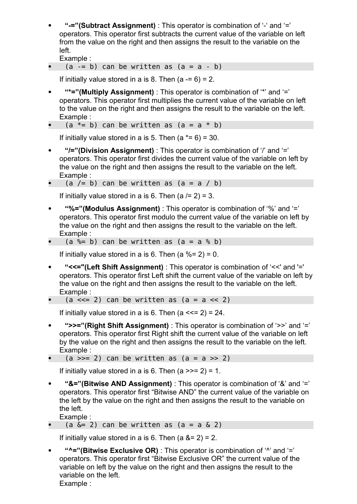**"-="(Subtract Assignment)** : This operator is combination of '-' and '=' operators. This operator first subtracts the current value of the variable on left from the value on the right and then assigns the result to the variable on the left.

Example :

•  $(a -b)$  can be written as  $(a = a - b)$ 

If initially value stored in a is 8. Then  $(a = 6) = 2$ .

- **"\*="(Multiply Assignment)** : This operator is combination of '\*' and '=' operators. This operator first multiplies the current value of the variable on left to the value on the right and then assigns the result to the variable on the left. Example :
- (a  $*= b$ ) can be written as (a = a  $* b$ )

If initially value stored in a is 5. Then  $(a \times = 6) = 30$ .

- **"/="(Division Assignment)** : This operator is combination of '/' and '=' operators. This operator first divides the current value of the variable on left by the value on the right and then assigns the result to the variable on the left. Example :
- (a  $/=$  b) can be written as (a = a  $/$  b)

If initially value stored in a is 6. Then  $(a = 2) = 3$ .

- **"%="(Modulus Assignment)** : This operator is combination of '%' and '=' operators. This operator first modulo the current value of the variable on left by the value on the right and then assigns the result to the variable on the left. Example :
- (a %= b) can be written as (a = a % b)

If initially value stored in a is 6. Then  $(a %= 2) = 0$ .

 **"<<="(Left Shift Assignment)** : This operator is combination of '<<' and '=' operators. This operator first Left shift the current value of the variable on left by the value on the right and then assigns the result to the variable on the left. Example :

• (a < = 2) can be written as (a = a << 2)

If initially value stored in a is 6. Then  $(a \leq 2) = 24$ .

- **">>="(Right Shift Assignment)** : This operator is combination of '>>' and '=' operators. This operator first Right shift the current value of the variable on left by the value on the right and then assigns the result to the variable on the left. Example :
- (a  $>>= 2$ ) can be written as (a = a  $>> 2$ )

If initially value stored in a is 6. Then  $(a \gg 2) = 1$ .

- **"&="(Bitwise AND Assignment)** : This operator is combination of '&' and '=' operators. This operator first "Bitwise AND" the current value of the variable on the left by the value on the right and then assigns the result to the variable on the left. Example :
- (a  $\&= 2$ ) can be written as (a = a  $\&$  2)

If initially value stored in a is 6. Then  $(a 8 = 2) = 2$ .

 **"^="(Bitwise Exclusive OR)** : This operator is combination of '^' and '=' operators. This operator first "Bitwise Exclusive OR" the current value of the variable on left by the value on the right and then assigns the result to the variable on the left. Example :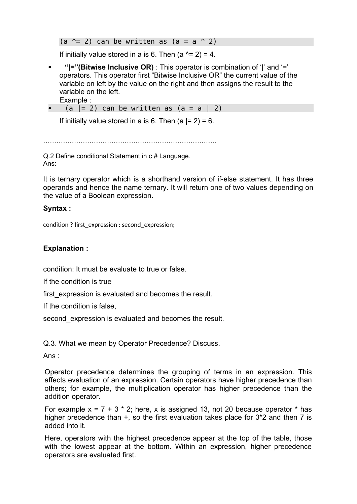(a  $\hat{=}$  2) can be written as (a = a  $\hat{=}$  2)

If initially value stored in a is 6. Then  $(a^2 = 2) = 4$ .

- **"|="(Bitwise Inclusive OR)** : This operator is combination of '|' and '=' operators. This operator first "Bitwise Inclusive OR" the current value of the variable on left by the value on the right and then assigns the result to the variable on the left.
	- Example :
- $(a \mid = 2)$  can be written as  $(a = a \mid 2)$

If initially value stored in a is 6. Then  $(a \mid = 2) = 6$ .

…………………………………………………………………….

Q.2 Define conditional Statement in c # Language. Ans:

It is ternary operator which is a shorthand version of if-else statement. It has three operands and hence the name ternary. It will return one of two values depending on the value of a Boolean expression.

#### **Syntax :**

condition ? first\_expression : second\_expression;

### **Explanation :**

condition: It must be evaluate to true or false.

If the condition is true

first expression is evaluated and becomes the result.

If the condition is false,

second expression is evaluated and becomes the result.

Q.3. What we mean by Operator Precedence? Discuss.

Ans :

Operator precedence determines the grouping of terms in an expression. This affects evaluation of an expression. Certain operators have higher precedence than others; for example, the multiplication operator has higher precedence than the addition operator.

For example  $x = 7 + 3 * 2$ ; here, x is assigned 13, not 20 because operator  $*$  has higher precedence than  $+$ , so the first evaluation takes place for 3<sup>\*</sup>2 and then 7 is added into it.

Here, operators with the highest precedence appear at the top of the table, those with the lowest appear at the bottom. Within an expression, higher precedence operators are evaluated first.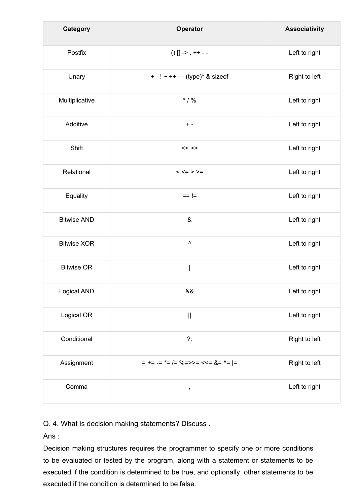| <b>Category</b>    | Operator                                        | <b>Associativity</b> |
|--------------------|-------------------------------------------------|----------------------|
| Postfix            | $() [] -> .++ - -$                              | Left to right        |
| Unary              | + - ! ~ + + - - (type)* & sizeof                | Right to left        |
| Multiplicative     | $*$ / %                                         | Left to right        |
| Additive           | $+ -$                                           | Left to right        |
| Shift              | $<<$ >>                                         | Left to right        |
| Relational         | $<<=>>=$                                        | Left to right        |
| Equality           | $== !=$                                         | Left to right        |
| <b>Bitwise AND</b> | $\&$                                            | Left to right        |
| <b>Bitwise XOR</b> | $\boldsymbol{\wedge}$                           | Left to right        |
| <b>Bitwise OR</b>  |                                                 | Left to right        |
| Logical AND        | &&                                              | Left to right        |
| Logical OR         | $\mathcal{L}^{\text{max}}_{\text{max}}$         | Left to right        |
| Conditional        | $?$ :                                           | Right to left        |
| Assignment         | $= + = - = * = / = % = > > = < = & < = & < = -$ | Right to left        |
| Comma              | $\pmb{\cdot}$                                   | Left to right        |

Q. 4. What is decision making statements? Discuss .

Ans :

Decision making structures requires the programmer to specify one or more conditions to be evaluated or tested by the program, along with a statement or statements to be executed if the condition is determined to be true, and optionally, other statements to be executed if the condition is determined to be false.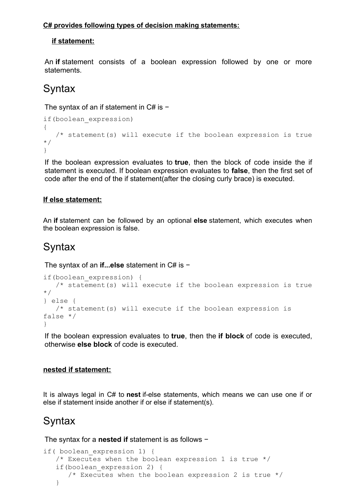### **C# provides following types of decision making statements:**

## **if statement:**

An **if** statement consists of a boolean expression followed by one or more statements.

## **Syntax**

The syntax of an if statement in C# is −

```
if(boolean_expression) 
{
   /* statement(s) will execute if the boolean expression is true
*/
}
```
If the boolean expression evaluates to **true**, then the block of code inside the if statement is executed. If boolean expression evaluates to **false**, then the first set of code after the end of the if statement(after the closing curly brace) is executed.

## **If else statement:**

An **if** statement can be followed by an optional **else** statement, which executes when the boolean expression is false.

## **Syntax**

The syntax of an **if...else** statement in C# is −

```
if(boolean_expression) {
    /* statement(s) will execute if the boolean expression is true
*/
} else {
   /* statement(s) will execute if the boolean expression is 
false */
}
```
If the boolean expression evaluates to **true**, then the **if block** of code is executed, otherwise **else block** of code is executed.

## **nested if statement:**

It is always legal in C# to **nest** if-else statements, which means we can use one if or else if statement inside another if or else if statement(s).

## **Syntax**

The syntax for a **nested if** statement is as follows −

```
if( boolean_expression 1) {
   /* Executes when the boolean expression 1 is true */ if(boolean_expression 2) {
      /* Executes when the boolean expression 2 is true */ }
```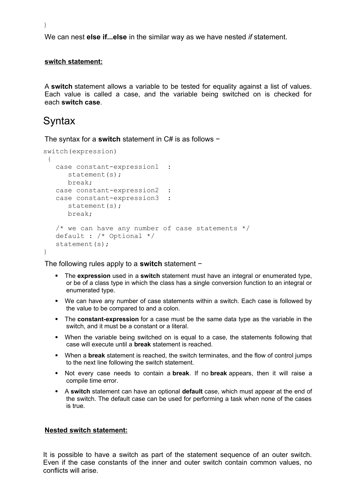}

We can nest **else if...else** in the similar way as we have nested *if* statement.

#### **switch statement:**

A **switch** statement allows a variable to be tested for equality against a list of values. Each value is called a case, and the variable being switched on is checked for each **switch case**.

## **Syntax**

The syntax for a **switch** statement in C# is as follows −

```
switch(expression)
  {
   case constant-expression1 :
      statement(s);
      break;
    case constant-expression2 :
    case constant-expression3 :
      statement(s);
      break;
   /* we can have any number of case statements */ default : /* Optional */
   statement(s);
}
```
The following rules apply to a **switch** statement −

- The **expression** used in a **switch** statement must have an integral or enumerated type, or be of a class type in which the class has a single conversion function to an integral or enumerated type.
- We can have any number of case statements within a switch. Each case is followed by the value to be compared to and a colon.
- The **constant-expression** for a case must be the same data type as the variable in the switch, and it must be a constant or a literal.
- When the variable being switched on is equal to a case, the statements following that case will execute until a **break** statement is reached.
- When a **break** statement is reached, the switch terminates, and the flow of control jumps to the next line following the switch statement.
- Not every case needs to contain a **break**. If no **break** appears, then it will raise a compile time error.
- A **switch** statement can have an optional **default** case, which must appear at the end of the switch. The default case can be used for performing a task when none of the cases is true.

#### **Nested switch statement:**

It is possible to have a switch as part of the statement sequence of an outer switch. Even if the case constants of the inner and outer switch contain common values, no conflicts will arise.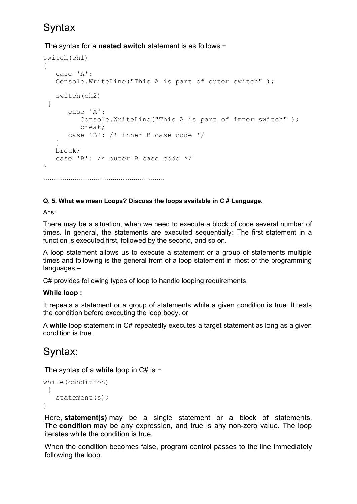# **Syntax**

## The syntax for a **nested switch** statement is as follows −

```
switch(ch1) 
{
   case 'A':
   Console.WriteLine("This A is part of outer switch" );
   switch(ch2)
  {
       case 'A':
          Console.WriteLine("This A is part of inner switch" );
          break;
       case 'B': /* inner B case code */
    }
   break;
   case 'B': /* outer B case code */
}
………………………………………………….
```
### **Q. 5. What we mean Loops? Discuss the loops available in C # Language.**

Ans:

There may be a situation, when we need to execute a block of code several number of times. In general, the statements are executed sequentially: The first statement in a function is executed first, followed by the second, and so on.

A loop statement allows us to execute a statement or a group of statements multiple times and following is the general from of a loop statement in most of the programming languages –

C# provides following types of loop to handle looping requirements.

## **While loop :**

It repeats a statement or a group of statements while a given condition is true. It tests the condition before executing the loop body. or

A **while** loop statement in C# repeatedly executes a target statement as long as a given condition is true.

# Syntax:

The syntax of a **while** loop in C# is −

```
while(condition)
  {
   statement(s);
}
```
Here, **statement(s)** may be a single statement or a block of statements. The **condition** may be any expression, and true is any non-zero value. The loop iterates while the condition is true.

When the condition becomes false, program control passes to the line immediately following the loop.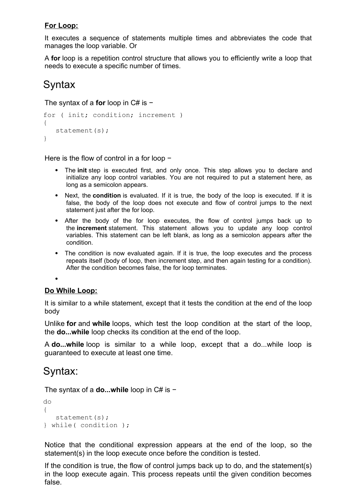## **For Loop:**

It executes a sequence of statements multiple times and abbreviates the code that manages the loop variable. Or

A **for** loop is a repetition control structure that allows you to efficiently write a loop that needs to execute a specific number of times.

## **Syntax**

The syntax of a **for** loop in C# is −

```
for ( init; condition; increment ) 
{
   statement(s);
}
```
Here is the flow of control in a for loop −

- The **init** step is executed first, and only once. This step allows you to declare and initialize any loop control variables. You are not required to put a statement here, as long as a semicolon appears.
- Next, the **condition** is evaluated. If it is true, the body of the loop is executed. If it is false, the body of the loop does not execute and flow of control jumps to the next statement just after the for loop.
- After the body of the for loop executes, the flow of control jumps back up to the **increment** statement. This statement allows you to update any loop control variables. This statement can be left blank, as long as a semicolon appears after the condition.
- The condition is now evaluated again. If it is true, the loop executes and the process repeats itself (body of loop, then increment step, and then again testing for a condition). After the condition becomes false, the for loop terminates.

 $\bullet$ 

## **Do While Loop:**

It is similar to a while statement, except that it tests the condition at the end of the loop body

Unlike **for** and **while** loops, which test the loop condition at the start of the loop, the **do...while** loop checks its condition at the end of the loop.

A **do...while** loop is similar to a while loop, except that a do...while loop is guaranteed to execute at least one time.

## Syntax:

The syntax of a **do...while** loop in C# is −

```
do 
{
   statement(s);
} while( condition );
```
Notice that the conditional expression appears at the end of the loop, so the statement(s) in the loop execute once before the condition is tested.

If the condition is true, the flow of control jumps back up to do, and the statement(s) in the loop execute again. This process repeats until the given condition becomes false.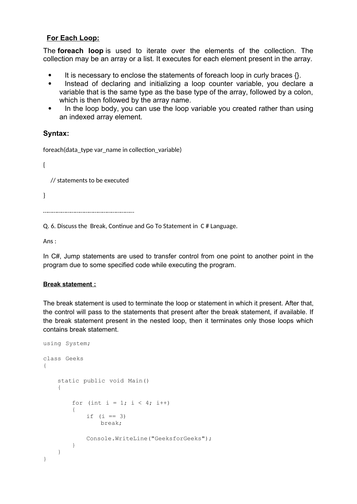### **For Each Loop:**

The **foreach loop** is used to iterate over the elements of the collection. The collection may be an array or a list. It executes for each element present in the array.

- It is necessary to enclose the statements of foreach loop in curly braces  $\{\}$ .
- Instead of declaring and initializing a loop counter variable, you declare a variable that is the same type as the base type of the array, followed by a colon, which is then followed by the array name.
- In the loop body, you can use the loop variable you created rather than using an indexed array element.

## **Syntax:**

foreach(data\_type var\_name in collection\_variable)

{

// statements to be executed

}

……………………………………………………

Q. 6. Discuss the Break, Continue and Go To Statement in C # Language.

Ans :

In C#, Jump statements are used to transfer control from one point to another point in the program due to some specified code while executing the program.

#### **Break statement :**

The break statement is used to terminate the loop or statement in which it present. After that, the control will pass to the statements that present after the break statement, if available. If the break statement present in the nested loop, then it terminates only those loops which contains break statement.

```
using System; 
class Geeks 
{ 
    static public void Main() 
    { 
        for (int i = 1; i < 4; i++)
         { 
             if (i == 3)break; 
             Console.WriteLine("GeeksforGeeks"); 
        } 
   } 
}
```